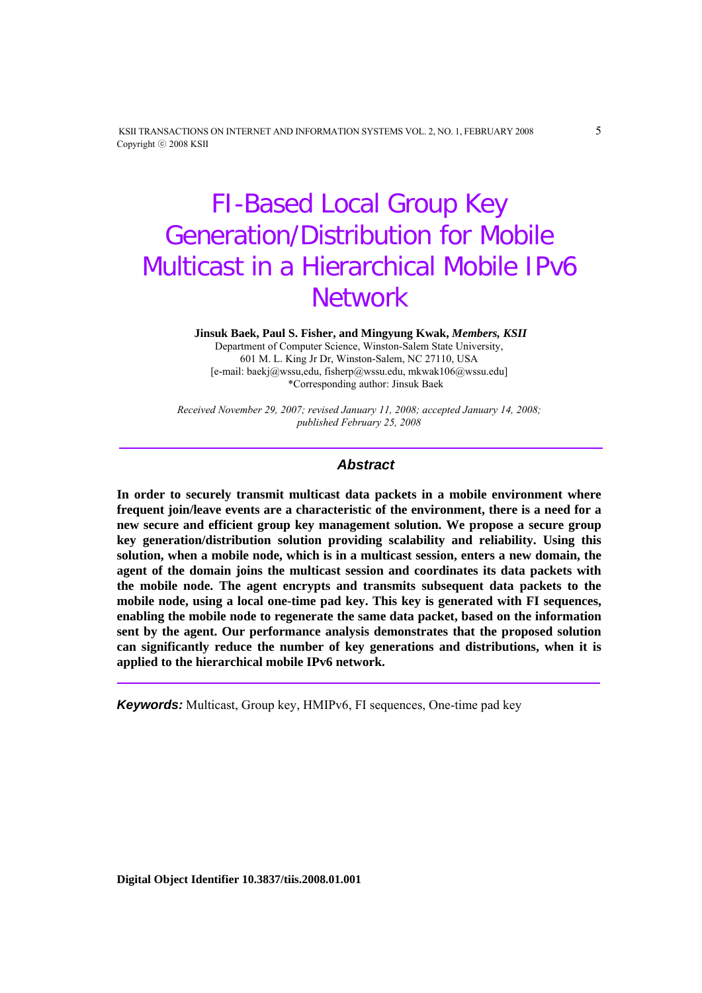KSII TRANSACTIONS ON INTERNET AND INFORMATION SYSTEMS VOL. 2, NO. 1, FEBRUARY 2008 5 Copyright ⓒ 2008 KSII

# FI-Based Local Group Key Generation/Distribution for Mobile Multicast in a Hierarchical Mobile IPv6 **Network**

 **Jinsuk Baek, Paul S. Fisher, and Mingyung Kwak,** *Members, KSII*

Department of Computer Science, Winston-Salem State University, 601 M. L. King Jr Dr, Winston-Salem, NC 27110, USA [e-mail: baekj@wssu,edu, fisherp@wssu.edu, mkwak106@wssu.edu] \*Corresponding author: Jinsuk Baek

*Received November 29, 2007; revised January 11, 2008; accepted January 14, 2008; published February 25, 2008* 

## *Abstract*

**In order to securely transmit multicast data packets in a mobile environment where frequent join/leave events are a characteristic of the environment, there is a need for a new secure and efficient group key management solution. We propose a secure group key generation/distribution solution providing scalability and reliability. Using this solution, when a mobile node, which is in a multicast session, enters a new domain, the agent of the domain joins the multicast session and coordinates its data packets with the mobile node. The agent encrypts and transmits subsequent data packets to the mobile node, using a local one-time pad key. This key is generated with FI sequences, enabling the mobile node to regenerate the same data packet, based on the information sent by the agent. Our performance analysis demonstrates that the proposed solution can significantly reduce the number of key generations and distributions, when it is applied to the hierarchical mobile IPv6 network.** 

*Keywords:* Multicast, Group key, HMIPv6, FI sequences, One-time pad key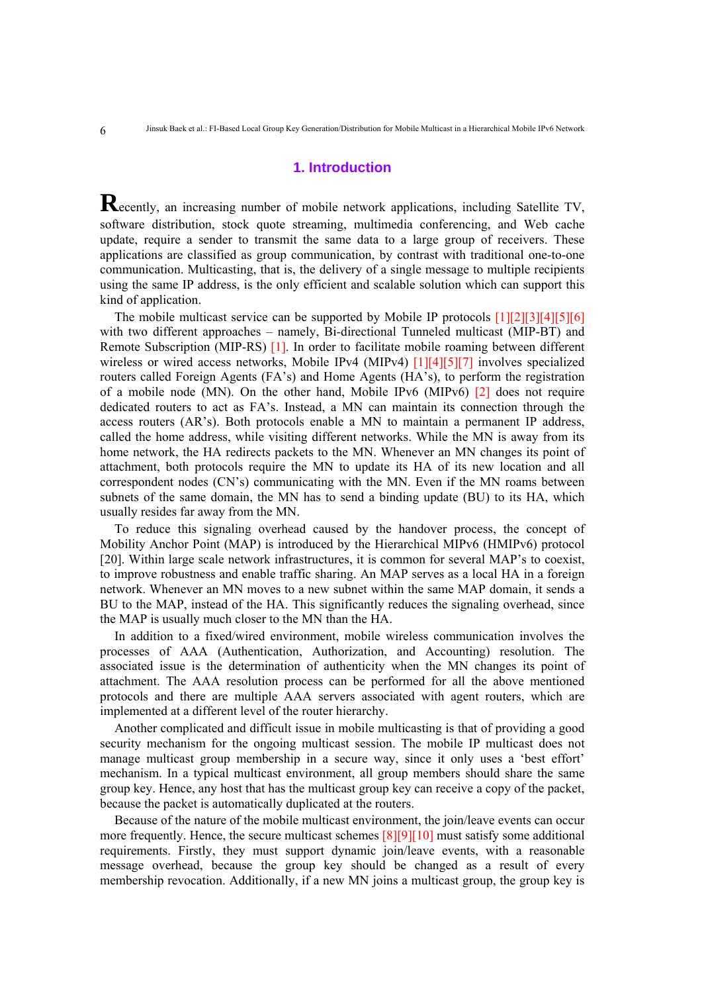# **1. Introduction**

**R**ecently, an increasing number of mobile network applications, including Satellite TV, software distribution, stock quote streaming, multimedia conferencing, and Web cache update, require a sender to transmit the same data to a large group of receivers. These applications are classified as group communication, by contrast with traditional one-to-one communication. Multicasting, that is, the delivery of a single message to multiple recipients using the same IP address, is the only efficient and scalable solution which can support this kind of application.

The mobile multicast service can be supported by Mobile IP protocols [1][2][3][4][5][6] with two different approaches – namely, Bi-directional Tunneled multicast (MIP-BT) and Remote Subscription (MIP-RS) [1]. In order to facilitate mobile roaming between different wireless or wired access networks, Mobile IPv4 (MIPv4) [1][4][5][7] involves specialized routers called Foreign Agents (FA's) and Home Agents (HA's), to perform the registration of a mobile node (MN). On the other hand, Mobile IPv6 (MIPv6) [2] does not require dedicated routers to act as FA's. Instead, a MN can maintain its connection through the access routers (AR's). Both protocols enable a MN to maintain a permanent IP address, called the home address, while visiting different networks. While the MN is away from its home network, the HA redirects packets to the MN. Whenever an MN changes its point of attachment, both protocols require the MN to update its HA of its new location and all correspondent nodes (CN's) communicating with the MN. Even if the MN roams between subnets of the same domain, the MN has to send a binding update (BU) to its HA, which usually resides far away from the MN.

To reduce this signaling overhead caused by the handover process, the concept of Mobility Anchor Point (MAP) is introduced by the Hierarchical MIPv6 (HMIPv6) protocol [20]. Within large scale network infrastructures, it is common for several MAP's to coexist, to improve robustness and enable traffic sharing. An MAP serves as a local HA in a foreign network. Whenever an MN moves to a new subnet within the same MAP domain, it sends a BU to the MAP, instead of the HA. This significantly reduces the signaling overhead, since the MAP is usually much closer to the MN than the HA.

In addition to a fixed/wired environment, mobile wireless communication involves the processes of AAA (Authentication, Authorization, and Accounting) resolution. The associated issue is the determination of authenticity when the MN changes its point of attachment. The AAA resolution process can be performed for all the above mentioned protocols and there are multiple AAA servers associated with agent routers, which are implemented at a different level of the router hierarchy.

Another complicated and difficult issue in mobile multicasting is that of providing a good security mechanism for the ongoing multicast session. The mobile IP multicast does not manage multicast group membership in a secure way, since it only uses a 'best effort' mechanism. In a typical multicast environment, all group members should share the same group key. Hence, any host that has the multicast group key can receive a copy of the packet, because the packet is automatically duplicated at the routers.

Because of the nature of the mobile multicast environment, the join/leave events can occur more frequently. Hence, the secure multicast schemes [8][9][10] must satisfy some additional requirements. Firstly, they must support dynamic join/leave events, with a reasonable message overhead, because the group key should be changed as a result of every membership revocation. Additionally, if a new MN joins a multicast group, the group key is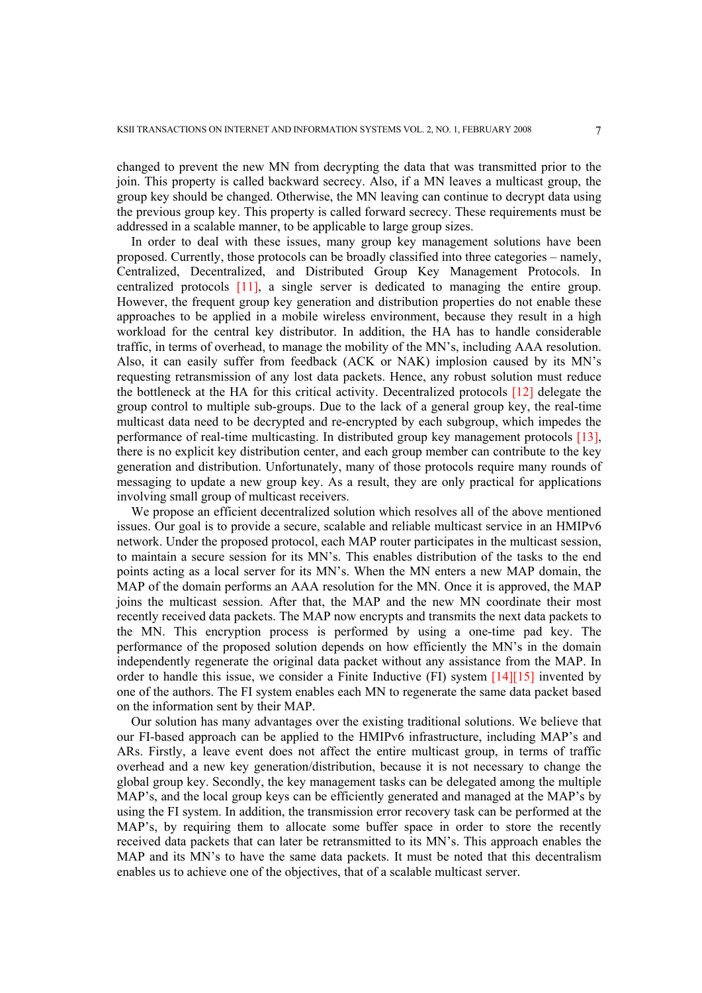changed to prevent the new MN from decrypting the data that was transmitted prior to the join. This property is called backward secrecy. Also, if a MN leaves a multicast group, the group key should be changed. Otherwise, the MN leaving can continue to decrypt data using the previous group key. This property is called forward secrecy. These requirements must be addressed in a scalable manner, to be applicable to large group sizes.

In order to deal with these issues, many group key management solutions have been proposed. Currently, those protocols can be broadly classified into three categories – namely, Centralized, Decentralized, and Distributed Group Key Management Protocols. In centralized protocols [11], a single server is dedicated to managing the entire group. However, the frequent group key generation and distribution properties do not enable these approaches to be applied in a mobile wireless environment, because they result in a high workload for the central key distributor. In addition, the HA has to handle considerable traffic, in terms of overhead, to manage the mobility of the MN's, including AAA resolution. Also, it can easily suffer from feedback (ACK or NAK) implosion caused by its MN's requesting retransmission of any lost data packets. Hence, any robust solution must reduce the bottleneck at the HA for this critical activity. Decentralized protocols [12] delegate the group control to multiple sub-groups. Due to the lack of a general group key, the real-time multicast data need to be decrypted and re-encrypted by each subgroup, which impedes the performance of real-time multicasting. In distributed group key management protocols [13], there is no explicit key distribution center, and each group member can contribute to the key generation and distribution. Unfortunately, many of those protocols require many rounds of messaging to update a new group key. As a result, they are only practical for applications involving small group of multicast receivers.

We propose an efficient decentralized solution which resolves all of the above mentioned issues. Our goal is to provide a secure, scalable and reliable multicast service in an HMIPv6 network. Under the proposed protocol, each MAP router participates in the multicast session, to maintain a secure session for its MN's. This enables distribution of the tasks to the end points acting as a local server for its MN's. When the MN enters a new MAP domain, the MAP of the domain performs an AAA resolution for the MN. Once it is approved, the MAP joins the multicast session. After that, the MAP and the new MN coordinate their most recently received data packets. The MAP now encrypts and transmits the next data packets to the MN. This encryption process is performed by using a one-time pad key. The performance of the proposed solution depends on how efficiently the MN's in the domain independently regenerate the original data packet without any assistance from the MAP. In order to handle this issue, we consider a Finite Inductive (FI) system  $[14][15]$  invented by one of the authors. The FI system enables each MN to regenerate the same data packet based on the information sent by their MAP.

Our solution has many advantages over the existing traditional solutions. We believe that our FI-based approach can be applied to the HMIPv6 infrastructure, including MAP's and ARs. Firstly, a leave event does not affect the entire multicast group, in terms of traffic overhead and a new key generation/distribution, because it is not necessary to change the global group key. Secondly, the key management tasks can be delegated among the multiple MAP's, and the local group keys can be efficiently generated and managed at the MAP's by using the FI system. In addition, the transmission error recovery task can be performed at the MAP's, by requiring them to allocate some buffer space in order to store the recently received data packets that can later be retransmitted to its MN's. This approach enables the MAP and its MN's to have the same data packets. It must be noted that this decentralism enables us to achieve one of the objectives, that of a scalable multicast server.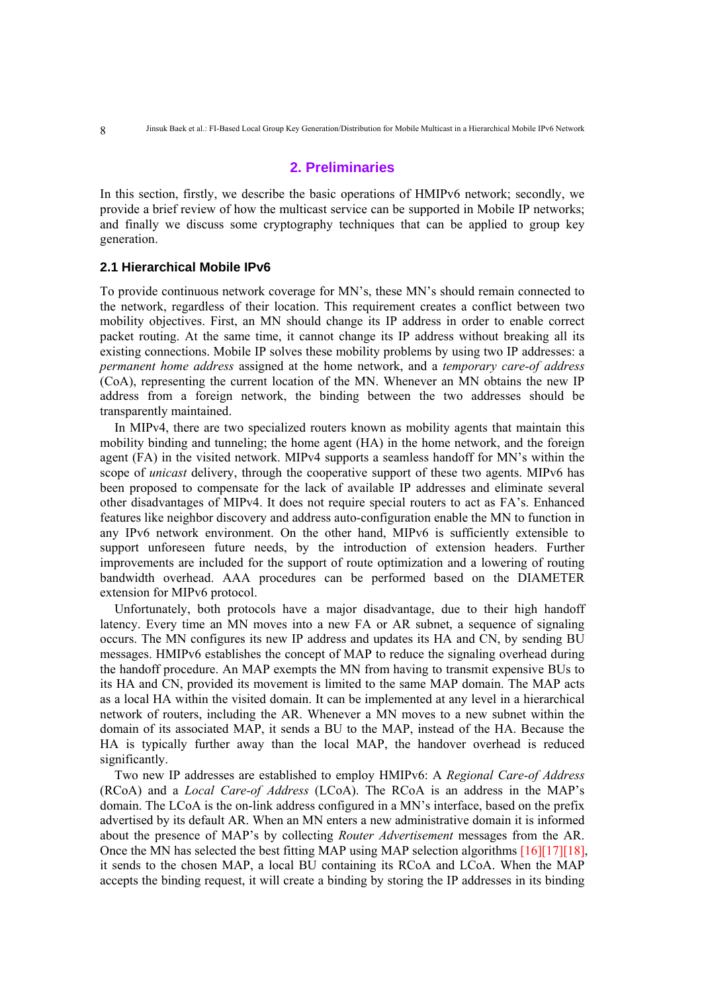## **2. Preliminaries**

In this section, firstly, we describe the basic operations of HMIPv6 network; secondly, we provide a brief review of how the multicast service can be supported in Mobile IP networks; and finally we discuss some cryptography techniques that can be applied to group key generation.

## **2.1 Hierarchical Mobile IPv6**

To provide continuous network coverage for MN's, these MN's should remain connected to the network, regardless of their location. This requirement creates a conflict between two mobility objectives. First, an MN should change its IP address in order to enable correct packet routing. At the same time, it cannot change its IP address without breaking all its existing connections. Mobile IP solves these mobility problems by using two IP addresses: a *permanent home address* assigned at the home network, and a *temporary care-of address* (CoA), representing the current location of the MN. Whenever an MN obtains the new IP address from a foreign network, the binding between the two addresses should be transparently maintained.

In MIPv4, there are two specialized routers known as mobility agents that maintain this mobility binding and tunneling; the home agent (HA) in the home network, and the foreign agent (FA) in the visited network. MIPv4 supports a seamless handoff for MN's within the scope of *unicast* delivery, through the cooperative support of these two agents. MIPv6 has been proposed to compensate for the lack of available IP addresses and eliminate several other disadvantages of MIPv4. It does not require special routers to act as FA's. Enhanced features like neighbor discovery and address auto-configuration enable the MN to function in any IPv6 network environment. On the other hand, MIPv6 is sufficiently extensible to support unforeseen future needs, by the introduction of extension headers. Further improvements are included for the support of route optimization and a lowering of routing bandwidth overhead. AAA procedures can be performed based on the DIAMETER extension for MIPv6 protocol.

Unfortunately, both protocols have a major disadvantage, due to their high handoff latency. Every time an MN moves into a new FA or AR subnet, a sequence of signaling occurs. The MN configures its new IP address and updates its HA and CN, by sending BU messages. HMIPv6 establishes the concept of MAP to reduce the signaling overhead during the handoff procedure. An MAP exempts the MN from having to transmit expensive BUs to its HA and CN, provided its movement is limited to the same MAP domain. The MAP acts as a local HA within the visited domain. It can be implemented at any level in a hierarchical network of routers, including the AR. Whenever a MN moves to a new subnet within the domain of its associated MAP, it sends a BU to the MAP, instead of the HA. Because the HA is typically further away than the local MAP, the handover overhead is reduced significantly.

Two new IP addresses are established to employ HMIPv6: A *Regional Care-of Address* (RCoA) and a *Local Care-of Address* (LCoA). The RCoA is an address in the MAP's domain. The LCoA is the on-link address configured in a MN's interface, based on the prefix advertised by its default AR. When an MN enters a new administrative domain it is informed about the presence of MAP's by collecting *Router Advertisement* messages from the AR. Once the MN has selected the best fitting MAP using MAP selection algorithms [16][17][18], it sends to the chosen MAP, a local BU containing its RCoA and LCoA. When the MAP accepts the binding request, it will create a binding by storing the IP addresses in its binding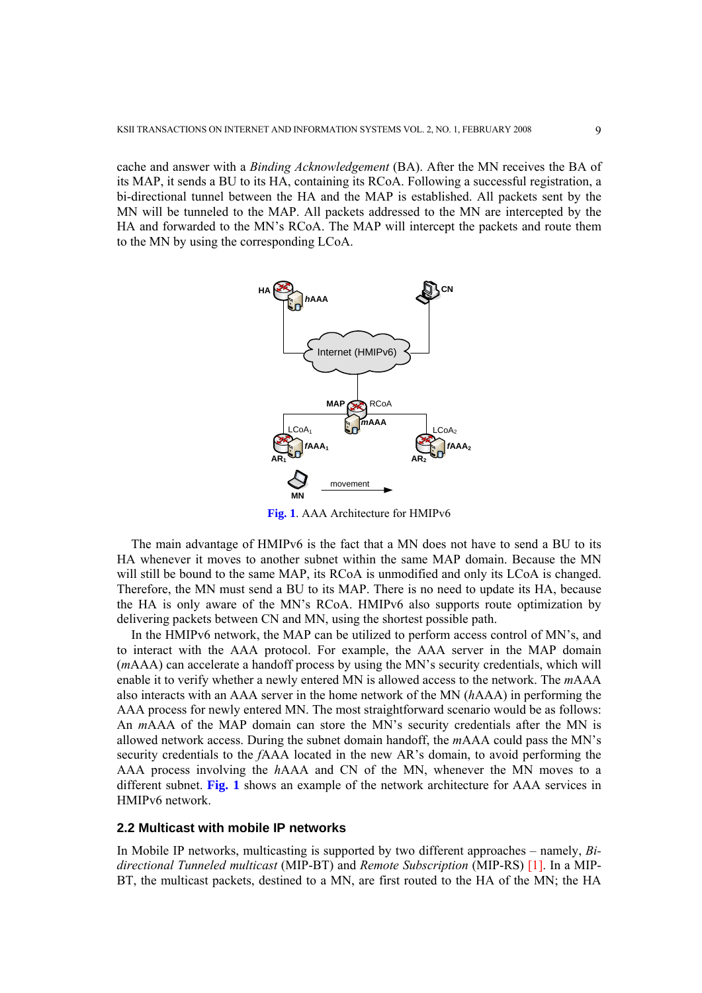cache and answer with a *Binding Acknowledgement* (BA). After the MN receives the BA of its MAP, it sends a BU to its HA, containing its RCoA. Following a successful registration, a bi-directional tunnel between the HA and the MAP is established. All packets sent by the MN will be tunneled to the MAP. All packets addressed to the MN are intercepted by the HA and forwarded to the MN's RCoA. The MAP will intercept the packets and route them to the MN by using the corresponding LCoA.



**Fig. 1**. AAA Architecture for HMIPv6

The main advantage of HMIPv6 is the fact that a MN does not have to send a BU to its HA whenever it moves to another subnet within the same MAP domain. Because the MN will still be bound to the same MAP, its RCoA is unmodified and only its LCoA is changed. Therefore, the MN must send a BU to its MAP. There is no need to update its HA, because the HA is only aware of the MN's RCoA. HMIPv6 also supports route optimization by delivering packets between CN and MN, using the shortest possible path.

In the HMIPv6 network, the MAP can be utilized to perform access control of MN's, and to interact with the AAA protocol. For example, the AAA server in the MAP domain (*m*AAA) can accelerate a handoff process by using the MN's security credentials, which will enable it to verify whether a newly entered MN is allowed access to the network. The *m*AAA also interacts with an AAA server in the home network of the MN (*h*AAA) in performing the AAA process for newly entered MN. The most straightforward scenario would be as follows: An *m*AAA of the MAP domain can store the MN's security credentials after the MN is allowed network access. During the subnet domain handoff, the *m*AAA could pass the MN's security credentials to the *f*AAA located in the new AR's domain, to avoid performing the AAA process involving the *h*AAA and CN of the MN, whenever the MN moves to a different subnet. **Fig. 1** shows an example of the network architecture for AAA services in HMIPv6 network.

#### **2.2 Multicast with mobile IP networks**

In Mobile IP networks, multicasting is supported by two different approaches – namely, *Bidirectional Tunneled multicast* (MIP-BT) and *Remote Subscription* (MIP-RS) [1]. In a MIP-BT, the multicast packets, destined to a MN, are first routed to the HA of the MN; the HA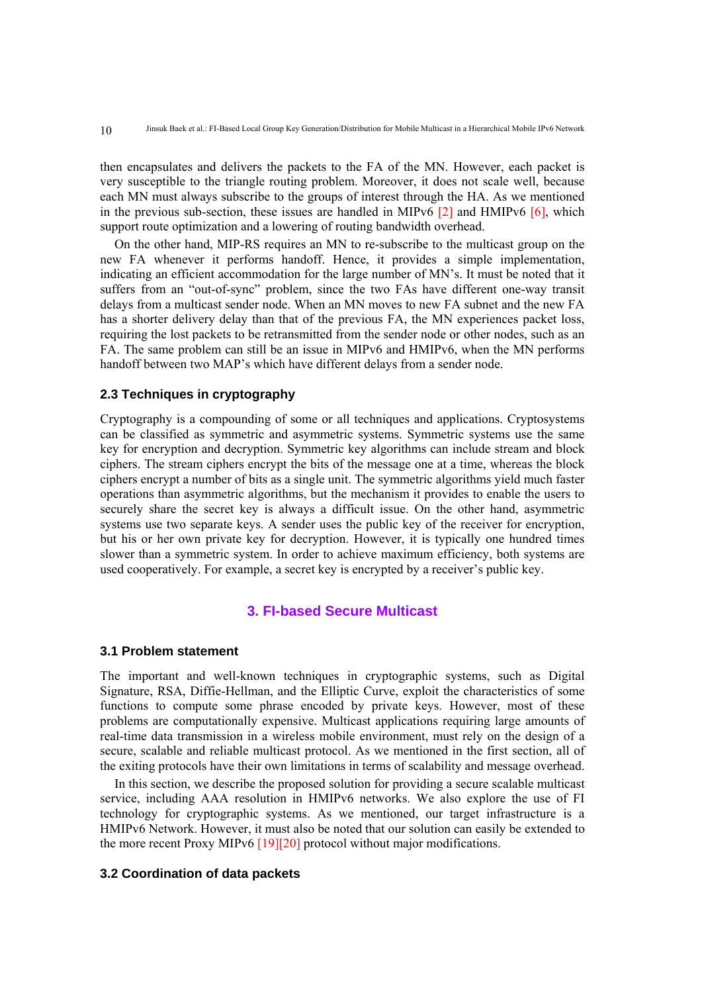then encapsulates and delivers the packets to the FA of the MN. However, each packet is very susceptible to the triangle routing problem. Moreover, it does not scale well, because each MN must always subscribe to the groups of interest through the HA. As we mentioned in the previous sub-section, these issues are handled in MIPv6  $[2]$  and HMIPv6  $[6]$ , which support route optimization and a lowering of routing bandwidth overhead.

On the other hand, MIP-RS requires an MN to re-subscribe to the multicast group on the new FA whenever it performs handoff. Hence, it provides a simple implementation, indicating an efficient accommodation for the large number of MN's. It must be noted that it suffers from an "out-of-sync" problem, since the two FAs have different one-way transit delays from a multicast sender node. When an MN moves to new FA subnet and the new FA has a shorter delivery delay than that of the previous FA, the MN experiences packet loss, requiring the lost packets to be retransmitted from the sender node or other nodes, such as an FA. The same problem can still be an issue in MIPv6 and HMIPv6, when the MN performs handoff between two MAP's which have different delays from a sender node.

# **2.3 Techniques in cryptography**

Cryptography is a compounding of some or all techniques and applications. Cryptosystems can be classified as symmetric and asymmetric systems. Symmetric systems use the same key for encryption and decryption. Symmetric key algorithms can include stream and block ciphers. The stream ciphers encrypt the bits of the message one at a time, whereas the block ciphers encrypt a number of bits as a single unit. The symmetric algorithms yield much faster operations than asymmetric algorithms, but the mechanism it provides to enable the users to securely share the secret key is always a difficult issue. On the other hand, asymmetric systems use two separate keys. A sender uses the public key of the receiver for encryption, but his or her own private key for decryption. However, it is typically one hundred times slower than a symmetric system. In order to achieve maximum efficiency, both systems are used cooperatively. For example, a secret key is encrypted by a receiver's public key.

# **3. FI-based Secure Multicast**

#### **3.1 Problem statement**

The important and well-known techniques in cryptographic systems, such as Digital Signature, RSA, Diffie-Hellman, and the Elliptic Curve, exploit the characteristics of some functions to compute some phrase encoded by private keys. However, most of these problems are computationally expensive. Multicast applications requiring large amounts of real-time data transmission in a wireless mobile environment, must rely on the design of a secure, scalable and reliable multicast protocol. As we mentioned in the first section, all of the exiting protocols have their own limitations in terms of scalability and message overhead.

In this section, we describe the proposed solution for providing a secure scalable multicast service, including AAA resolution in HMIPv6 networks. We also explore the use of FI technology for cryptographic systems. As we mentioned, our target infrastructure is a HMIPv6 Network. However, it must also be noted that our solution can easily be extended to the more recent Proxy MIPv6 [19][20] protocol without major modifications.

#### **3.2 Coordination of data packets**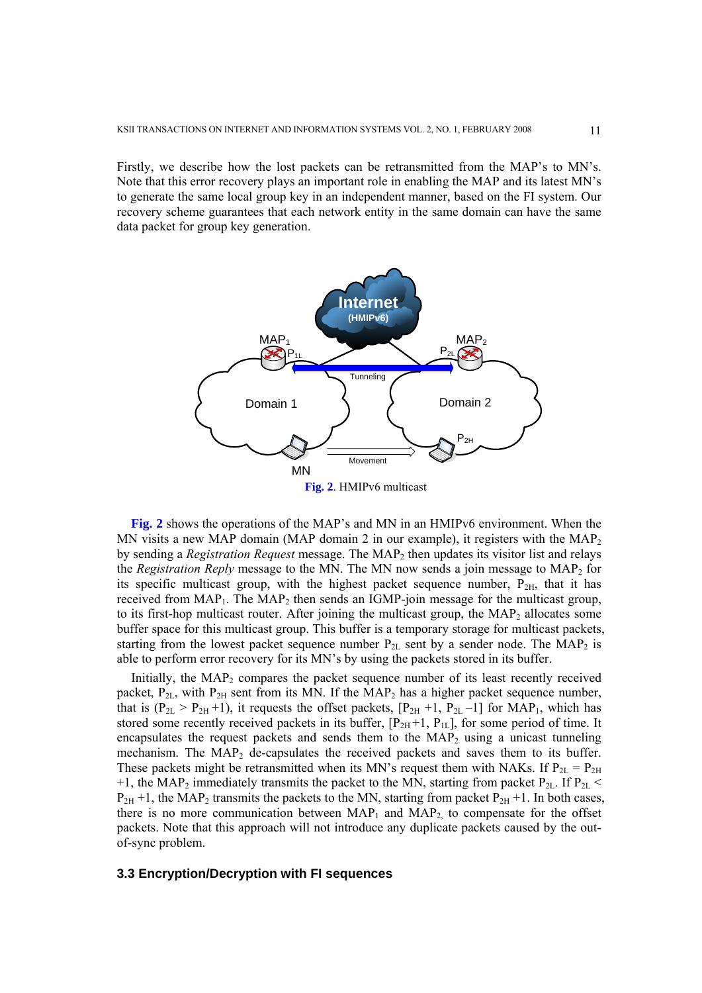Firstly, we describe how the lost packets can be retransmitted from the MAP's to MN's. Note that this error recovery plays an important role in enabling the MAP and its latest MN's to generate the same local group key in an independent manner, based on the FI system. Our recovery scheme guarantees that each network entity in the same domain can have the same data packet for group key generation.



**Fig. 2**. HMIPv6 multicast

**Fig. 2** shows the operations of the MAP's and MN in an HMIPv6 environment. When the MN visits a new MAP domain (MAP domain 2 in our example), it registers with the MAP<sub>2</sub> by sending a *Registration Request* message. The MAP2 then updates its visitor list and relays the *Registration Reply* message to the MN. The MN now sends a join message to MAP<sub>2</sub> for its specific multicast group, with the highest packet sequence number,  $P_{2H}$ , that it has received from  $MAP_1$ . The  $MAP_2$  then sends an IGMP-join message for the multicast group, to its first-hop multicast router. After joining the multicast group, the  $MAP<sub>2</sub>$  allocates some buffer space for this multicast group. This buffer is a temporary storage for multicast packets, starting from the lowest packet sequence number  $P_{2L}$  sent by a sender node. The MAP<sub>2</sub> is able to perform error recovery for its MN's by using the packets stored in its buffer.

Initially, the  $MAP_2$  compares the packet sequence number of its least recently received packet,  $P_{2L}$ , with  $P_{2H}$  sent from its MN. If the MAP<sub>2</sub> has a higher packet sequence number, that is  $(P_{2L} > P_{2H} + 1)$ , it requests the offset packets,  $[P_{2H} + 1, P_{2L} - 1]$  for MAP<sub>1</sub>, which has stored some recently received packets in its buffer,  $[P_{2H}+1, P_{1L}]$ , for some period of time. It encapsulates the request packets and sends them to the  $MAP_2$  using a unicast tunneling mechanism. The  $MAP_2$  de-capsulates the received packets and saves them to its buffer. These packets might be retransmitted when its MN's request them with NAKs. If  $P_{2L} = P_{2H}$ +1, the MAP<sub>2</sub> immediately transmits the packet to the MN, starting from packet P<sub>2L</sub>. If P<sub>2L</sub> <  $P_{2H}$  +1, the MAP<sub>2</sub> transmits the packets to the MN, starting from packet  $P_{2H}$  +1. In both cases, there is no more communication between  $MAP_1$  and  $MAP_2$  to compensate for the offset packets. Note that this approach will not introduce any duplicate packets caused by the outof-sync problem.

#### **3.3 Encryption/Decryption with FI sequences**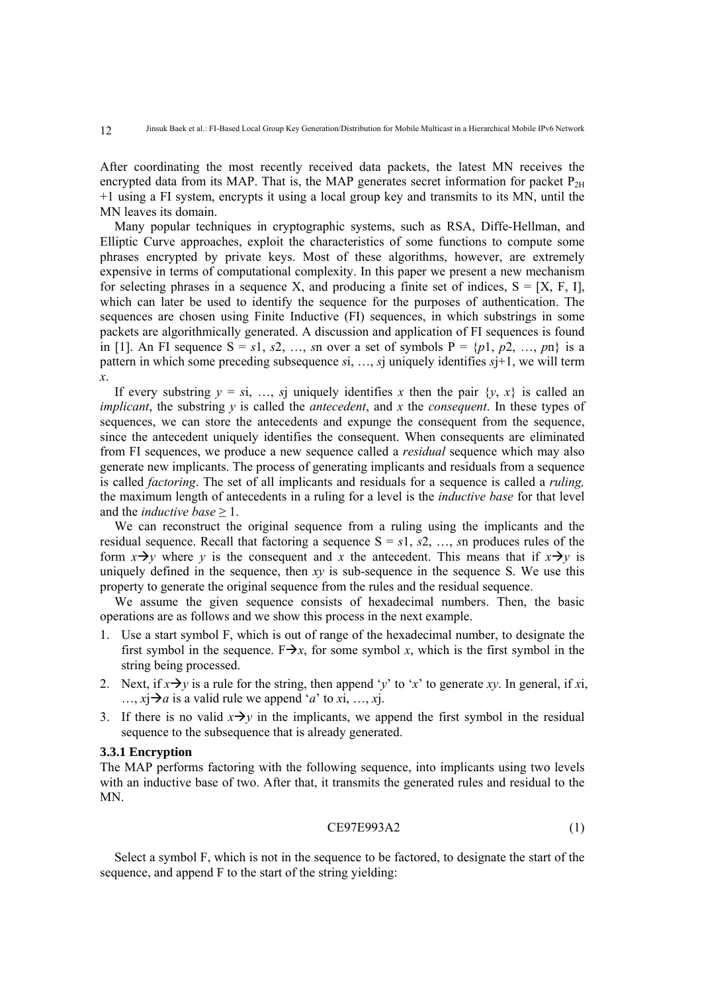After coordinating the most recently received data packets, the latest MN receives the encrypted data from its MAP. That is, the MAP generates secret information for packet  $P_{2H}$ +1 using a FI system, encrypts it using a local group key and transmits to its MN, until the MN leaves its domain.

Many popular techniques in cryptographic systems, such as RSA, Diffe-Hellman, and Elliptic Curve approaches, exploit the characteristics of some functions to compute some phrases encrypted by private keys. Most of these algorithms, however, are extremely expensive in terms of computational complexity. In this paper we present a new mechanism for selecting phrases in a sequence X, and producing a finite set of indices,  $S = [X, F, I]$ , which can later be used to identify the sequence for the purposes of authentication. The sequences are chosen using Finite Inductive (FI) sequences, in which substrings in some packets are algorithmically generated. A discussion and application of FI sequences is found in [1]. An FI sequence  $S = s_1, s_2, \ldots, s_n$  over a set of symbols  $P = \{p_1, p_2, \ldots, p_n\}$  is a pattern in which some preceding subsequence *s*i, …, *s*j uniquely identifies *s*j+1, we will term *x*.

If every substring  $y = si$ , ..., *s*j uniquely identifies *x* then the pair  $\{y, x\}$  is called an *implicant*, the substring *y* is called the *antecedent*, and *x* the *consequent*. In these types of sequences, we can store the antecedents and expunge the consequent from the sequence, since the antecedent uniquely identifies the consequent. When consequents are eliminated from FI sequences, we produce a new sequence called a *residual* sequence which may also generate new implicants. The process of generating implicants and residuals from a sequence is called *factoring*. The set of all implicants and residuals for a sequence is called a *ruling,* the maximum length of antecedents in a ruling for a level is the *inductive base* for that level and the *inductive base* ≥ 1.

We can reconstruct the original sequence from a ruling using the implicants and the residual sequence. Recall that factoring a sequence  $S = s_1, s_2, \ldots, s_n$  produces rules of the form  $x \rightarrow y$  where *y* is the consequent and *x* the antecedent. This means that if  $x \rightarrow y$  is uniquely defined in the sequence, then *xy* is sub-sequence in the sequence S. We use this property to generate the original sequence from the rules and the residual sequence.

We assume the given sequence consists of hexadecimal numbers. Then, the basic operations are as follows and we show this process in the next example.

- 1. Use a start symbol F, which is out of range of the hexadecimal number, to designate the first symbol in the sequence.  $F \rightarrow x$ , for some symbol *x*, which is the first symbol in the string being processed.
- 2. Next, if  $x \rightarrow y$  is a rule for the string, then append '*y*' to '*x*' to generate *xy*. In general, if *x*i,  $\ldots$ ,  $x \rightarrow a$  is a valid rule we append '*a*' to *x*i, ..., *x*j.
- 3. If there is no valid  $x \rightarrow y$  in the implicants, we append the first symbol in the residual sequence to the subsequence that is already generated.

## **3.3.1 Encryption**

The MAP performs factoring with the following sequence, into implicants using two levels with an inductive base of two. After that, it transmits the generated rules and residual to the MN.

$$
CE97E993A2 \t(1)
$$

Select a symbol F, which is not in the sequence to be factored, to designate the start of the sequence, and append F to the start of the string yielding: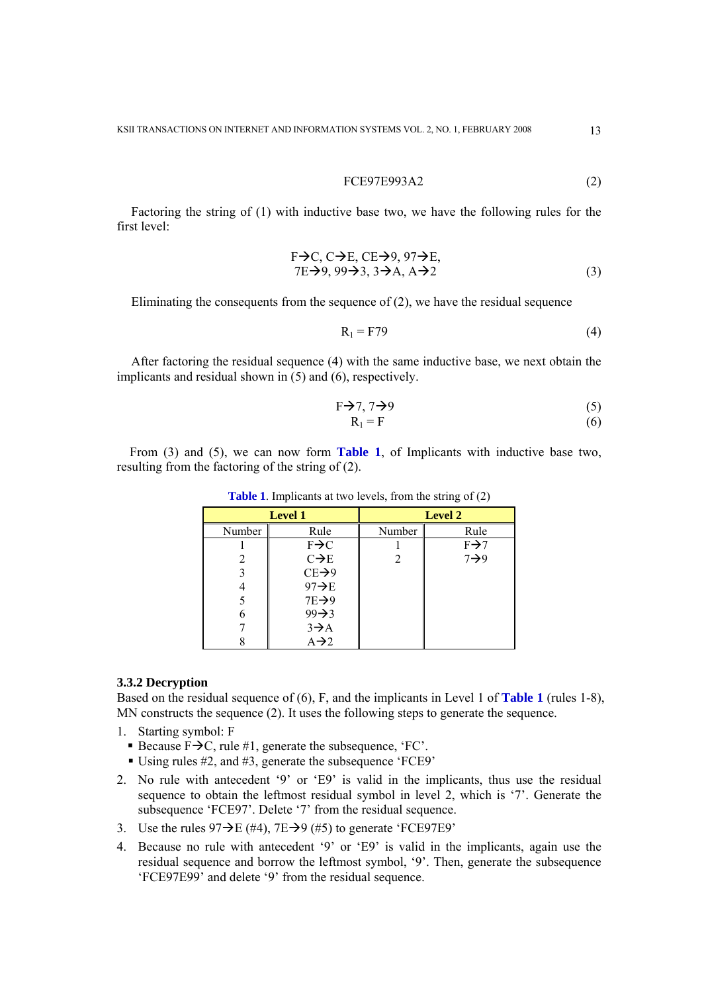$$
FCE97E993A2 \t(2)
$$

Factoring the string of (1) with inductive base two, we have the following rules for the first level:

$$
F \rightarrow C, C \rightarrow E, CE \rightarrow 9, 97 \rightarrow E,\n7E \rightarrow 9, 99 \rightarrow 3, 3 \rightarrow A, A \rightarrow 2
$$
\n(3)

Eliminating the consequents from the sequence of (2), we have the residual sequence

$$
R_1 = F79 \tag{4}
$$

After factoring the residual sequence (4) with the same inductive base, we next obtain the implicants and residual shown in (5) and (6), respectively.

$$
F \rightarrow 7, 7 \rightarrow 9 \tag{5}
$$

$$
R_1 = F \tag{6}
$$

From (3) and (5), we can now form **Table 1**, of Implicants with inductive base two, resulting from the factoring of the string of (2).

| <b>Level 1</b> |                    | <b>Level 2</b> |                  |
|----------------|--------------------|----------------|------------------|
| Number         | Rule               | Number         | Rule             |
|                | $F \rightarrow C$  |                | $F\rightarrow 7$ |
|                | $C\rightarrow E$   | 2              | $7\rightarrow 9$ |
|                | $CE\rightarrow 9$  |                |                  |
|                | $97 \rightarrow E$ |                |                  |
|                | $7E\rightarrow 9$  |                |                  |
| 6              | $99 \rightarrow 3$ |                |                  |
|                | $3\rightarrow A$   |                |                  |
|                | $A\rightarrow 2$   |                |                  |

**Table 1**. Implicants at two levels, from the string of (2)

## **3.3.2 Decryption**

Based on the residual sequence of (6), F, and the implicants in Level 1 of **Table 1** (rules 1-8), MN constructs the sequence (2). It uses the following steps to generate the sequence.

- 1. Starting symbol: F
	- Because  $F\rightarrow C$ , rule #1, generate the subsequence, 'FC'.
	- Using rules #2, and #3, generate the subsequence 'FCE9'
- 2. No rule with antecedent '9' or 'E9' is valid in the implicants, thus use the residual sequence to obtain the leftmost residual symbol in level 2, which is '7'. Generate the subsequence 'FCE97'. Delete '7' from the residual sequence.
- 3. Use the rules  $97\rightarrow E$  (#4),  $7E\rightarrow 9$  (#5) to generate 'FCE97E9'
- 4. Because no rule with antecedent '9' or 'E9' is valid in the implicants, again use the residual sequence and borrow the leftmost symbol, '9'. Then, generate the subsequence 'FCE97E99' and delete '9' from the residual sequence.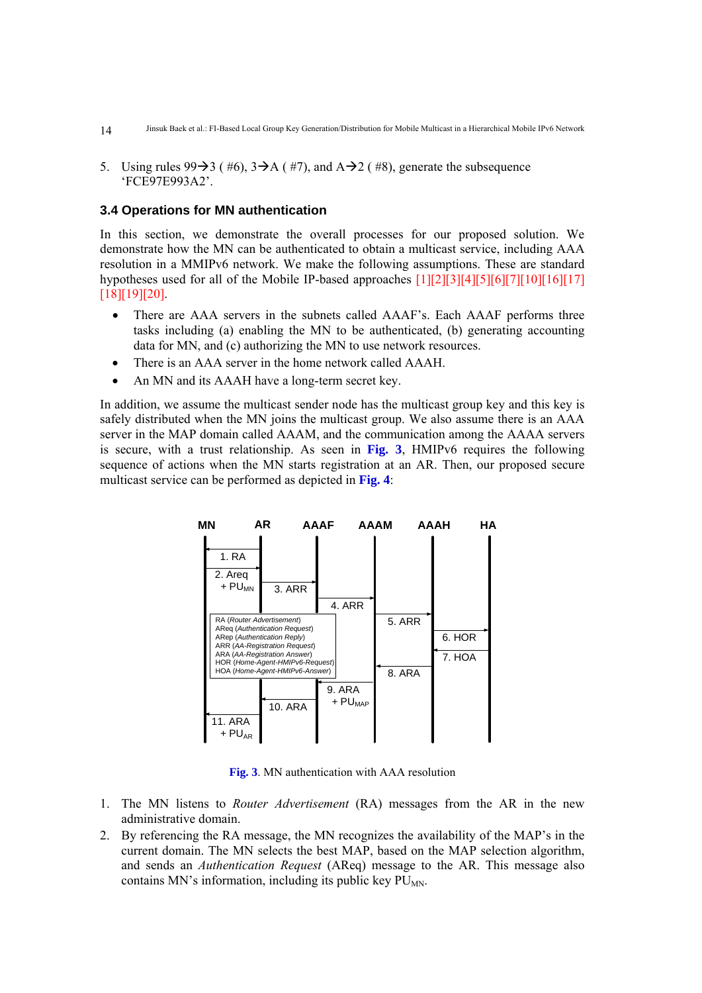- Jinsuk Baek et al.: FI-Based Local Group Key Generation/Distribution for Mobile Multicast in a Hierarchical Mobile IPv6 Network 14
- 5. Using rules  $99\rightarrow 3$  (#6),  $3\rightarrow A$  (#7), and  $A\rightarrow 2$  (#8), generate the subsequence 'FCE97E993A2'.

## **3.4 Operations for MN authentication**

In this section, we demonstrate the overall processes for our proposed solution. We demonstrate how the MN can be authenticated to obtain a multicast service, including AAA resolution in a MMIPv6 network. We make the following assumptions. These are standard hypotheses used for all of the Mobile IP-based approaches [1][2][3][4][5][6][7][10][16][17] [18][19][20].

- There are AAA servers in the subnets called AAAF's. Each AAAF performs three tasks including (a) enabling the MN to be authenticated, (b) generating accounting data for MN, and (c) authorizing the MN to use network resources.
- There is an AAA server in the home network called AAAH.
- An MN and its AAAH have a long-term secret key.

In addition, we assume the multicast sender node has the multicast group key and this key is safely distributed when the MN joins the multicast group. We also assume there is an AAA server in the MAP domain called AAAM, and the communication among the AAAA servers is secure, with a trust relationship. As seen in **Fig. 3**, HMIPv6 requires the following sequence of actions when the MN starts registration at an AR. Then, our proposed secure multicast service can be performed as depicted in **Fig. 4**:



**Fig. 3**. MN authentication with AAA resolution

- 1. The MN listens to *Router Advertisement* (RA) messages from the AR in the new administrative domain.
- 2. By referencing the RA message, the MN recognizes the availability of the MAP's in the current domain. The MN selects the best MAP, based on the MAP selection algorithm, and sends an *Authentication Request* (AReq) message to the AR. This message also contains MN's information, including its public key  $PU_{MN}$ .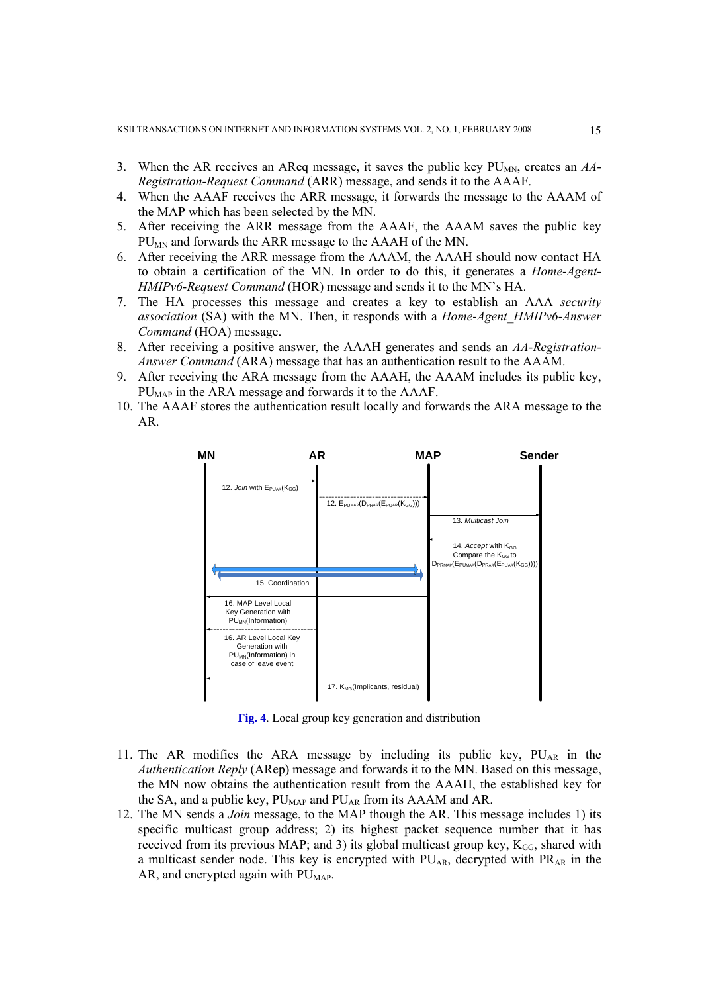- 3. When the AR receives an AReq message, it saves the public key  $PU_{MN}$ , creates an  $AA$ -*Registration*-*Request Command* (ARR) message, and sends it to the AAAF.
- 4. When the AAAF receives the ARR message, it forwards the message to the AAAM of the MAP which has been selected by the MN.
- 5. After receiving the ARR message from the AAAF, the AAAM saves the public key PU<sub>MN</sub> and forwards the ARR message to the AAAH of the MN.
- 6. After receiving the ARR message from the AAAM, the AAAH should now contact HA to obtain a certification of the MN. In order to do this, it generates a *Home*-*Agent*-*HMIPv6*-*Request Command* (HOR) message and sends it to the MN's HA.
- 7. The HA processes this message and creates a key to establish an AAA *security association* (SA) with the MN. Then, it responds with a *Home*-*Agent*\_*HMIPv6*-*Answer Command* (HOA) message.
- 8. After receiving a positive answer, the AAAH generates and sends an *AA*-*Registration*-*Answer Command* (ARA) message that has an authentication result to the AAAM.
- 9. After receiving the ARA message from the AAAH, the AAAM includes its public key,  $PU<sub>MAP</sub>$  in the ARA message and forwards it to the AAAF.
- 10. The AAAF stores the authentication result locally and forwards the ARA message to the AR.



**Fig. 4**. Local group key generation and distribution

- 11. The AR modifies the ARA message by including its public key,  $PU_{AR}$  in the *Authentication Reply* (ARep) message and forwards it to the MN. Based on this message, the MN now obtains the authentication result from the AAAH, the established key for the SA, and a public key,  $PU_{MAP}$  and  $PU_{AR}$  from its AAAM and AR.
- 12. The MN sends a *Join* message, to the MAP though the AR. This message includes 1) its specific multicast group address; 2) its highest packet sequence number that it has received from its previous MAP; and 3) its global multicast group key,  $K_{GG}$ , shared with a multicast sender node. This key is encrypted with  $PU_{AR}$ , decrypted with  $PR_{AR}$  in the AR, and encrypted again with  $PU<sub>MAP</sub>$ .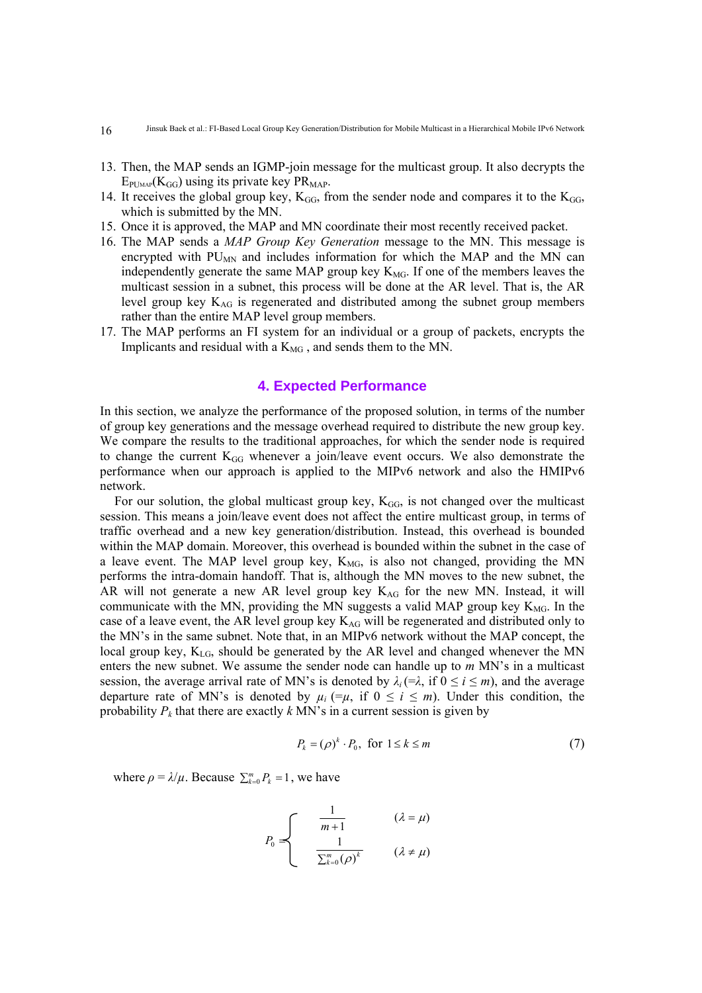- 13. Then, the MAP sends an IGMP-join message for the multicast group. It also decrypts the  $E_{\text{PLMAP}}(K_{GG})$  using its private key PR<sub>MAP</sub>.
- 14. It receives the global group key,  $K_{GG}$ , from the sender node and compares it to the  $K_{GG}$ , which is submitted by the MN.
- 15. Once it is approved, the MAP and MN coordinate their most recently received packet.
- 16. The MAP sends a *MAP Group Key Generation* message to the MN. This message is encrypted with  $PU_{MN}$  and includes information for which the MAP and the MN can independently generate the same MAP group key  $K_{MG}$ . If one of the members leaves the multicast session in a subnet, this process will be done at the AR level. That is, the AR level group key  $K_{AG}$  is regenerated and distributed among the subnet group members rather than the entire MAP level group members.
- 17. The MAP performs an FI system for an individual or a group of packets, encrypts the Implicants and residual with a  $K_{MG}$ , and sends them to the MN.

# **4. Expected Performance**

In this section, we analyze the performance of the proposed solution, in terms of the number of group key generations and the message overhead required to distribute the new group key. We compare the results to the traditional approaches, for which the sender node is required to change the current  $K_{GG}$  whenever a join/leave event occurs. We also demonstrate the performance when our approach is applied to the MIPv6 network and also the HMIPv6 network.

For our solution, the global multicast group key,  $K<sub>GG</sub>$ , is not changed over the multicast session. This means a join/leave event does not affect the entire multicast group, in terms of traffic overhead and a new key generation/distribution. Instead, this overhead is bounded within the MAP domain. Moreover, this overhead is bounded within the subnet in the case of a leave event. The MAP level group key,  $K_{MG}$ , is also not changed, providing the MN performs the intra-domain handoff. That is, although the MN moves to the new subnet, the AR will not generate a new AR level group key  $K_{AG}$  for the new MN. Instead, it will communicate with the MN, providing the MN suggests a valid MAP group key  $K_{MG}$ . In the case of a leave event, the AR level group key  $K_{AG}$  will be regenerated and distributed only to the MN's in the same subnet. Note that, in an MIPv6 network without the MAP concept, the local group key,  $K_{LG}$ , should be generated by the AR level and changed whenever the MN enters the new subnet. We assume the sender node can handle up to *m* MN's in a multicast session, the average arrival rate of MN's is denoted by  $\lambda_i (= \lambda, \text{ if } 0 \le i \le m)$ , and the average departure rate of MN's is denoted by  $\mu_i$  (= $\mu$ , if  $0 \le i \le m$ ). Under this condition, the probability  $P_k$  that there are exactly  $k$  MN's in a current session is given by

$$
P_k = (\rho)^k \cdot P_0, \text{ for } 1 \le k \le m \tag{7}
$$

where  $\rho = \lambda / \mu$ . Because  $\sum_{k=0}^{m} P_k = 1$ , we have

$$
P_0 \leq \begin{cases} \frac{1}{m+1} & (\lambda = \mu) \\ \frac{1}{\sum_{k=0}^m (\rho)^k} & (\lambda \neq \mu) \end{cases}
$$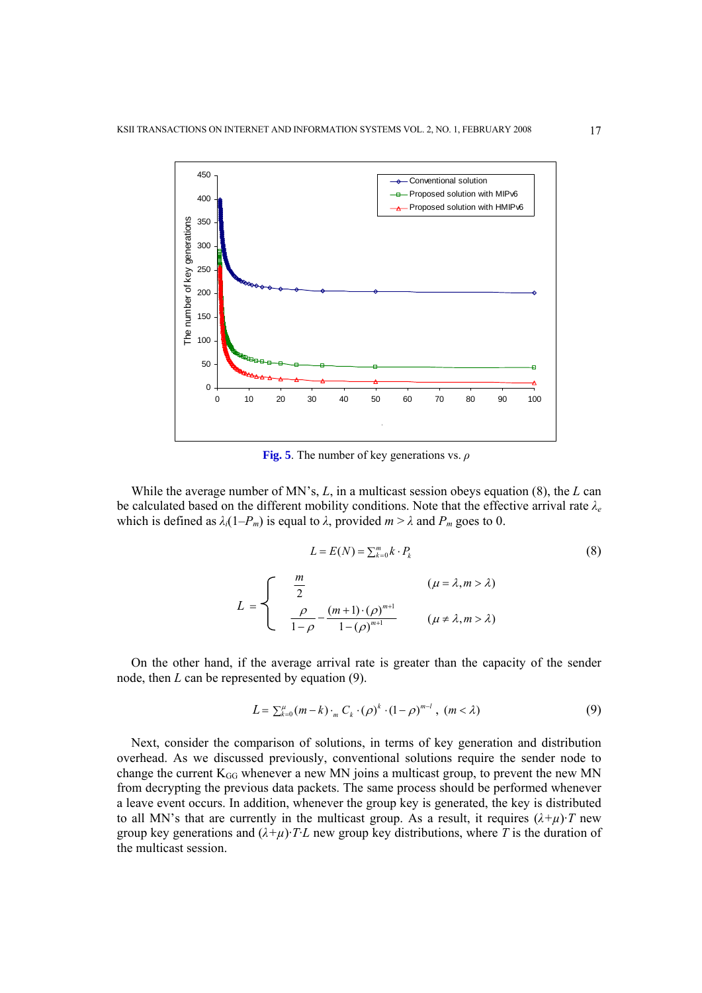

**Fig. 5**. The number of key generations vs. *ρ*

While the average number of MN's, *L*, in a multicast session obeys equation (8), the *L* can be calculated based on the different mobility conditions. Note that the effective arrival rate *λ<sup>e</sup>* which is defined as  $\lambda_i(1-P_m)$  is equal to  $\lambda$ , provided  $m > \lambda$  and  $P_m$  goes to 0.

$$
L = E(N) = \sum_{k=0}^{m} k \cdot P_k
$$
\n
$$
L = \begin{cases}\n\frac{m}{2} & (\mu = \lambda, m > \lambda) \\
\frac{\rho}{1 - \rho} - \frac{(m+1) \cdot (\rho)^{m+1}}{1 - (\rho)^{m+1}} & (\mu \neq \lambda, m > \lambda)\n\end{cases}
$$
\n(8)

On the other hand, if the average arrival rate is greater than the capacity of the sender node, then *L* can be represented by equation (9).

$$
L = \sum_{k=0}^{\mu} (m-k) \cdot {}_{m}C_{k} \cdot (\rho)^{k} \cdot (1-\rho)^{m-l}, \ (m < \lambda)
$$
 (9)

Next, consider the comparison of solutions, in terms of key generation and distribution overhead. As we discussed previously, conventional solutions require the sender node to change the current  $K_{GG}$  whenever a new MN joins a multicast group, to prevent the new MN from decrypting the previous data packets. The same process should be performed whenever a leave event occurs. In addition, whenever the group key is generated, the key is distributed to all MN's that are currently in the multicast group. As a result, it requires  $(\lambda + \mu)$ ·*T* new group key generations and  $(\lambda + \mu) \cdot T \cdot L$  new group key distributions, where T is the duration of the multicast session.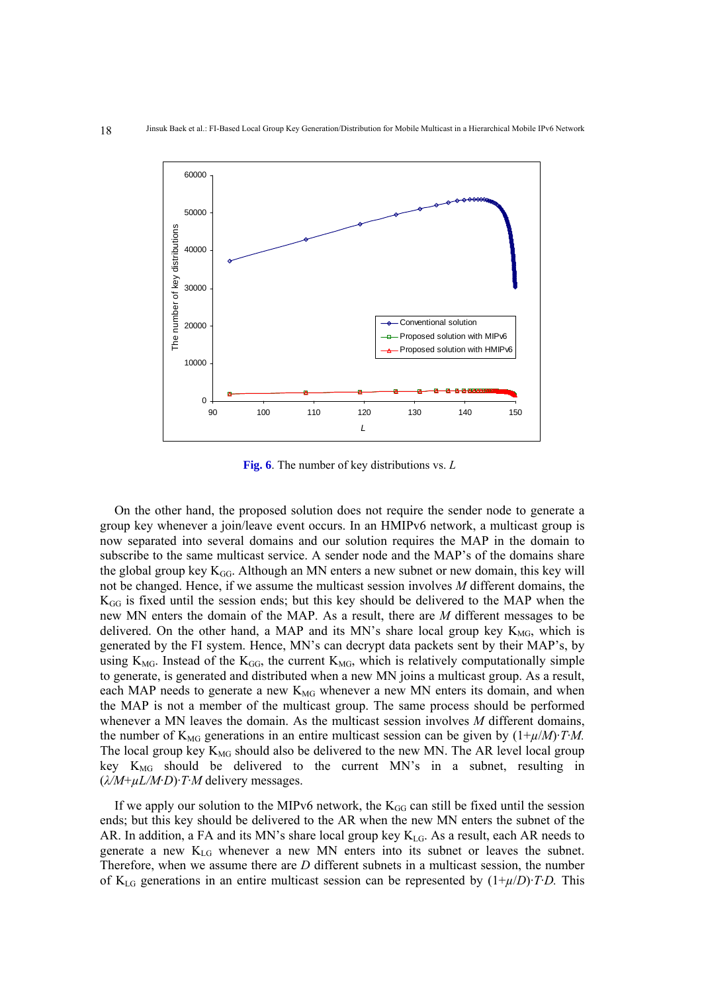

**Fig. 6**. The number of key distributions vs. *L*

On the other hand, the proposed solution does not require the sender node to generate a group key whenever a join/leave event occurs. In an HMIPv6 network, a multicast group is now separated into several domains and our solution requires the MAP in the domain to subscribe to the same multicast service. A sender node and the MAP's of the domains share the global group key  $K_{GG}$ . Although an MN enters a new subnet or new domain, this key will not be changed. Hence, if we assume the multicast session involves *M* different domains, the  $K_{GG}$  is fixed until the session ends; but this key should be delivered to the MAP when the new MN enters the domain of the MAP. As a result, there are *M* different messages to be delivered. On the other hand, a MAP and its MN's share local group key  $K_{MG}$ , which is generated by the FI system. Hence, MN's can decrypt data packets sent by their MAP's, by using  $K_{MG}$ . Instead of the  $K_{GG}$ , the current  $K_{MG}$ , which is relatively computationally simple to generate, is generated and distributed when a new MN joins a multicast group. As a result, each MAP needs to generate a new  $K_{MG}$  whenever a new MN enters its domain, and when the MAP is not a member of the multicast group. The same process should be performed whenever a MN leaves the domain. As the multicast session involves *M* different domains, the number of  $K_{MG}$  generations in an entire multicast session can be given by  $(1+\mu/M) \cdot T \cdot M$ . The local group key  $K_{MG}$  should also be delivered to the new MN. The AR level local group key K<sub>MG</sub> should be delivered to the current MN's in a subnet, resulting in (*λ/M*+*µL/M*·*D*)·*T*·*M* delivery messages.

If we apply our solution to the MIPv6 network, the  $K_{GG}$  can still be fixed until the session ends; but this key should be delivered to the AR when the new MN enters the subnet of the AR. In addition, a FA and its MN's share local group key  $K_{LG}$ . As a result, each AR needs to generate a new KLG whenever a new MN enters into its subnet or leaves the subnet. Therefore, when we assume there are *D* different subnets in a multicast session, the number of K<sub>LG</sub> generations in an entire multicast session can be represented by  $(1+\mu/D)\cdot TD$ . This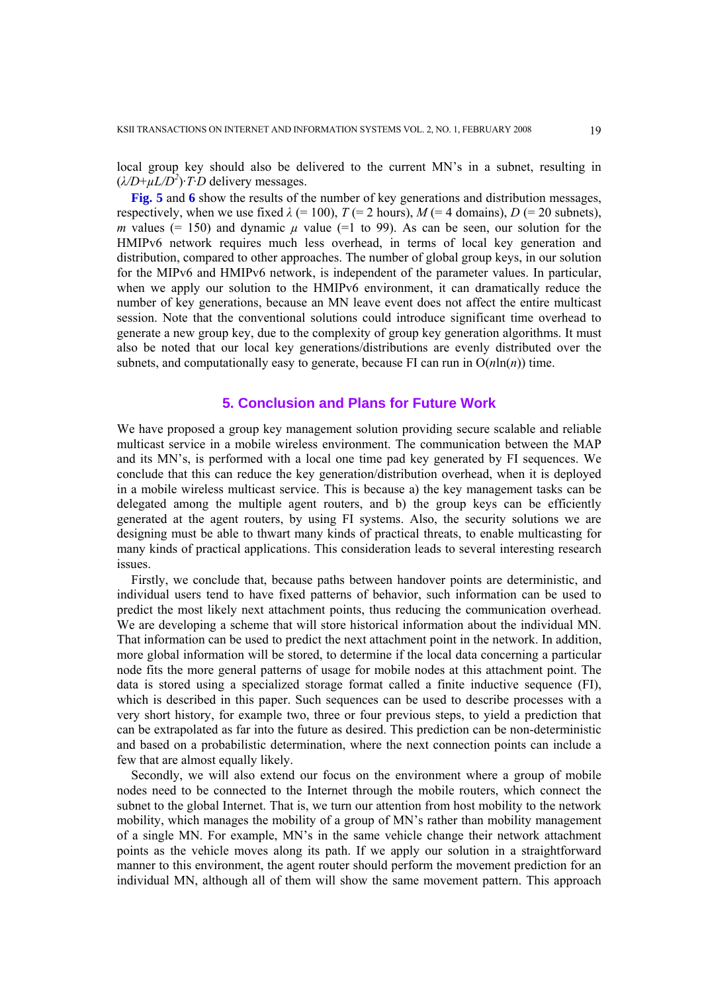local group key should also be delivered to the current MN's in a subnet, resulting in  $(\lambda/D+\mu L/D^2)$ ·*T*·*D* delivery messages.

**Fig. 5** and 6 show the results of the number of key generations and distribution messages, respectively, when we use fixed  $\lambda$  (= 100),  $T$  (= 2 hours),  $M$  (= 4 domains),  $D$  (= 20 subnets), *m* values (= 150) and dynamic  $\mu$  value (=1 to 99). As can be seen, our solution for the HMIPv6 network requires much less overhead, in terms of local key generation and distribution, compared to other approaches. The number of global group keys, in our solution for the MIPv6 and HMIPv6 network, is independent of the parameter values. In particular, when we apply our solution to the HMIPv6 environment, it can dramatically reduce the number of key generations, because an MN leave event does not affect the entire multicast session. Note that the conventional solutions could introduce significant time overhead to generate a new group key, due to the complexity of group key generation algorithms. It must also be noted that our local key generations/distributions are evenly distributed over the subnets, and computationally easy to generate, because FI can run in  $O(n \ln(n))$  time.

## **5. Conclusion and Plans for Future Work**

We have proposed a group key management solution providing secure scalable and reliable multicast service in a mobile wireless environment. The communication between the MAP and its MN's, is performed with a local one time pad key generated by FI sequences. We conclude that this can reduce the key generation/distribution overhead, when it is deployed in a mobile wireless multicast service. This is because a) the key management tasks can be delegated among the multiple agent routers, and b) the group keys can be efficiently generated at the agent routers, by using FI systems. Also, the security solutions we are designing must be able to thwart many kinds of practical threats, to enable multicasting for many kinds of practical applications. This consideration leads to several interesting research issues.

Firstly, we conclude that, because paths between handover points are deterministic, and individual users tend to have fixed patterns of behavior, such information can be used to predict the most likely next attachment points, thus reducing the communication overhead. We are developing a scheme that will store historical information about the individual MN. That information can be used to predict the next attachment point in the network. In addition, more global information will be stored, to determine if the local data concerning a particular node fits the more general patterns of usage for mobile nodes at this attachment point. The data is stored using a specialized storage format called a finite inductive sequence (FI), which is described in this paper. Such sequences can be used to describe processes with a very short history, for example two, three or four previous steps, to yield a prediction that can be extrapolated as far into the future as desired. This prediction can be non-deterministic and based on a probabilistic determination, where the next connection points can include a few that are almost equally likely.

Secondly, we will also extend our focus on the environment where a group of mobile nodes need to be connected to the Internet through the mobile routers, which connect the subnet to the global Internet. That is, we turn our attention from host mobility to the network mobility, which manages the mobility of a group of MN's rather than mobility management of a single MN. For example, MN's in the same vehicle change their network attachment points as the vehicle moves along its path. If we apply our solution in a straightforward manner to this environment, the agent router should perform the movement prediction for an individual MN, although all of them will show the same movement pattern. This approach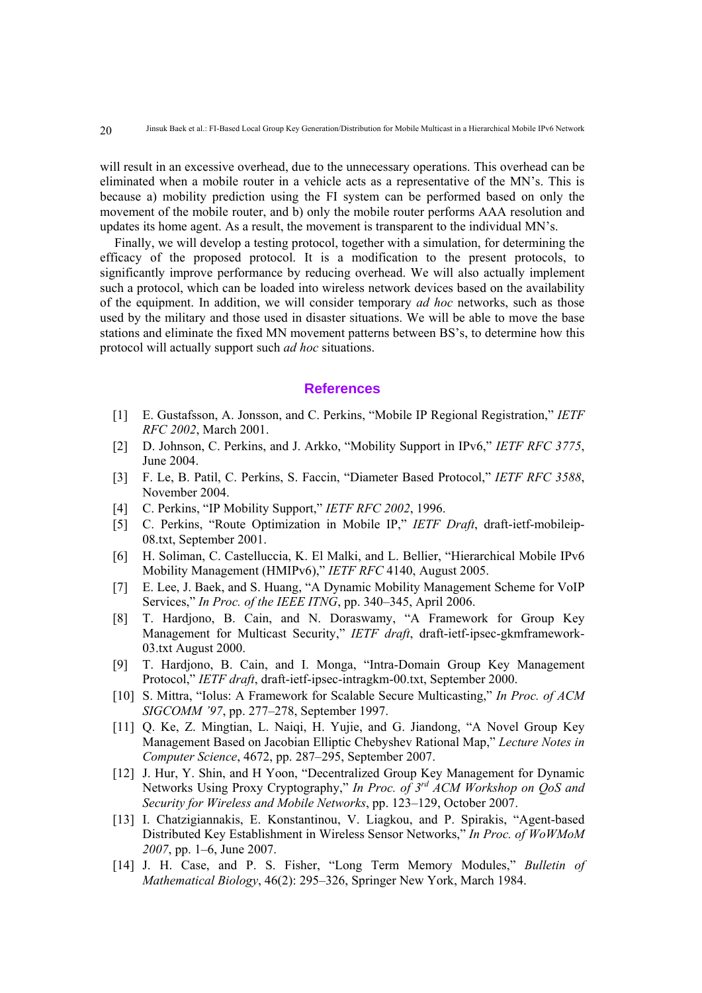will result in an excessive overhead, due to the unnecessary operations. This overhead can be eliminated when a mobile router in a vehicle acts as a representative of the MN's. This is because a) mobility prediction using the FI system can be performed based on only the movement of the mobile router, and b) only the mobile router performs AAA resolution and updates its home agent. As a result, the movement is transparent to the individual MN's.

Finally, we will develop a testing protocol, together with a simulation, for determining the efficacy of the proposed protocol. It is a modification to the present protocols, to significantly improve performance by reducing overhead. We will also actually implement such a protocol, which can be loaded into wireless network devices based on the availability of the equipment. In addition, we will consider temporary *ad hoc* networks, such as those used by the military and those used in disaster situations. We will be able to move the base stations and eliminate the fixed MN movement patterns between BS's, to determine how this protocol will actually support such *ad hoc* situations.

## **References**

- [1] E. Gustafsson, A. Jonsson, and C. Perkins, "Mobile IP Regional Registration," *IETF RFC 2002*, March 2001.
- [2] D. Johnson, C. Perkins, and J. Arkko, "Mobility Support in IPv6," *IETF RFC 3775*, June 2004.
- [3] F. Le, B. Patil, C. Perkins, S. Faccin, "Diameter Based Protocol," *IETF RFC 3588*, November 2004.
- [4] C. Perkins, "IP Mobility Support," *IETF RFC 2002*, 1996.
- [5] C. Perkins, "Route Optimization in Mobile IP," *IETF Draft*, draft-ietf-mobileip-08.txt, September 2001.
- [6] H. Soliman, C. Castelluccia, K. El Malki, and L. Bellier, "Hierarchical Mobile IPv6 Mobility Management (HMIPv6)," *IETF RFC* 4140, August 2005.
- [7] E. Lee, J. Baek, and S. Huang, "A Dynamic Mobility Management Scheme for VoIP Services," *In Proc. of the IEEE ITNG*, pp. 340–345, April 2006.
- [8] T. Hardjono, B. Cain, and N. Doraswamy, "A Framework for Group Key Management for Multicast Security," *IETF draft*, draft-ietf-ipsec-gkmframework-03.txt August 2000.
- [9] T. Hardjono, B. Cain, and I. Monga, "Intra-Domain Group Key Management Protocol," *IETF draft*, draft-ietf-ipsec-intragkm-00.txt, September 2000.
- [10] S. Mittra, "Iolus: A Framework for Scalable Secure Multicasting," *In Proc. of ACM SIGCOMM '97*, pp. 277–278, September 1997.
- [11] Q. Ke, Z. Mingtian, L. Naiqi, H. Yujie, and G. Jiandong, "A Novel Group Key Management Based on Jacobian Elliptic Chebyshev Rational Map," *Lecture Notes in Computer Science*, 4672, pp. 287–295, September 2007.
- [12] J. Hur, Y. Shin, and H Yoon, "Decentralized Group Key Management for Dynamic Networks Using Proxy Cryptography," *In Proc. of 3rd ACM Workshop on QoS and Security for Wireless and Mobile Networks*, pp. 123–129, October 2007.
- [13] I. Chatzigiannakis, E. Konstantinou, V. Liagkou, and P. Spirakis, "Agent-based Distributed Key Establishment in Wireless Sensor Networks," *In Proc. of WoWMoM 2007*, pp. 1–6, June 2007.
- [14] J. H. Case, and P. S. Fisher, "Long Term Memory Modules," *Bulletin of Mathematical Biology*, 46(2): 295–326, Springer New York, March 1984.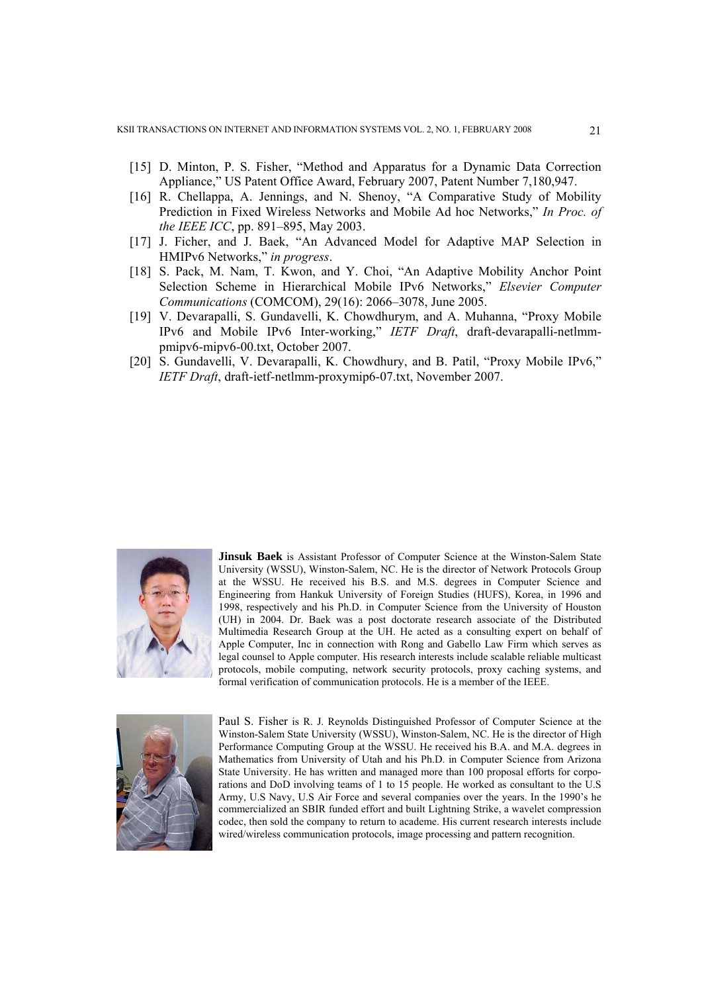- [15] D. Minton, P. S. Fisher, "Method and Apparatus for a Dynamic Data Correction Appliance," US Patent Office Award, February 2007, Patent Number 7,180,947.
- [16] R. Chellappa, A. Jennings, and N. Shenoy, "A Comparative Study of Mobility Prediction in Fixed Wireless Networks and Mobile Ad hoc Networks," *In Proc. of the IEEE ICC*, pp. 891–895, May 2003.
- [17] J. Ficher, and J. Baek, "An Advanced Model for Adaptive MAP Selection in HMIPv6 Networks," *in progress*.
- [18] S. Pack, M. Nam, T. Kwon, and Y. Choi, "An Adaptive Mobility Anchor Point Selection Scheme in Hierarchical Mobile IPv6 Networks," *Elsevier Computer Communications* (COMCOM), 29(16): 2066–3078, June 2005.
- [19] V. Devarapalli, S. Gundavelli, K. Chowdhurym, and A. Muhanna, "Proxy Mobile IPv6 and Mobile IPv6 Inter-working," *IETF Draft*, draft-devarapalli-netlmmpmipv6-mipv6-00.txt, October 2007.
- [20] S. Gundavelli, V. Devarapalli, K. Chowdhury, and B. Patil, "Proxy Mobile IPv6," *IETF Draft*, draft-ietf-netlmm-proxymip6-07.txt, November 2007.



**Jinsuk Baek** is Assistant Professor of Computer Science at the Winston-Salem State University (WSSU), Winston-Salem, NC. He is the director of Network Protocols Group at the WSSU. He received his B.S. and M.S. degrees in Computer Science and Engineering from Hankuk University of Foreign Studies (HUFS), Korea, in 1996 and 1998, respectively and his Ph.D. in Computer Science from the University of Houston (UH) in 2004. Dr. Baek was a post doctorate research associate of the Distributed Multimedia Research Group at the UH. He acted as a consulting expert on behalf of Apple Computer, Inc in connection with Rong and Gabello Law Firm which serves as legal counsel to Apple computer. His research interests include scalable reliable multicast protocols, mobile computing, network security protocols, proxy caching systems, and formal verification of communication protocols. He is a member of the IEEE.



Paul S. Fisher is R. J. Reynolds Distinguished Professor of Computer Science at the Winston-Salem State University (WSSU), Winston-Salem, NC. He is the director of High Performance Computing Group at the WSSU. He received his B.A. and M.A. degrees in Mathematics from University of Utah and his Ph.D. in Computer Science from Arizona State University. He has written and managed more than 100 proposal efforts for corporations and DoD involving teams of 1 to 15 people. He worked as consultant to the U.S Army, U.S Navy, U.S Air Force and several companies over the years. In the 1990's he commercialized an SBIR funded effort and built Lightning Strike, a wavelet compression codec, then sold the company to return to academe. His current research interests include wired/wireless communication protocols, image processing and pattern recognition.